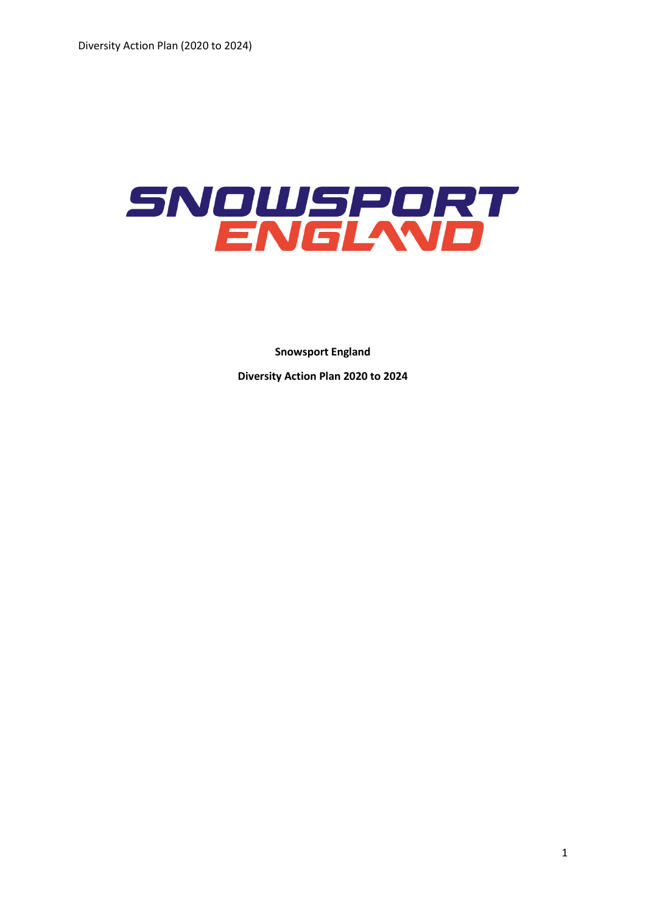

**Snowsport England Diversity Action Plan 2020 to 2024**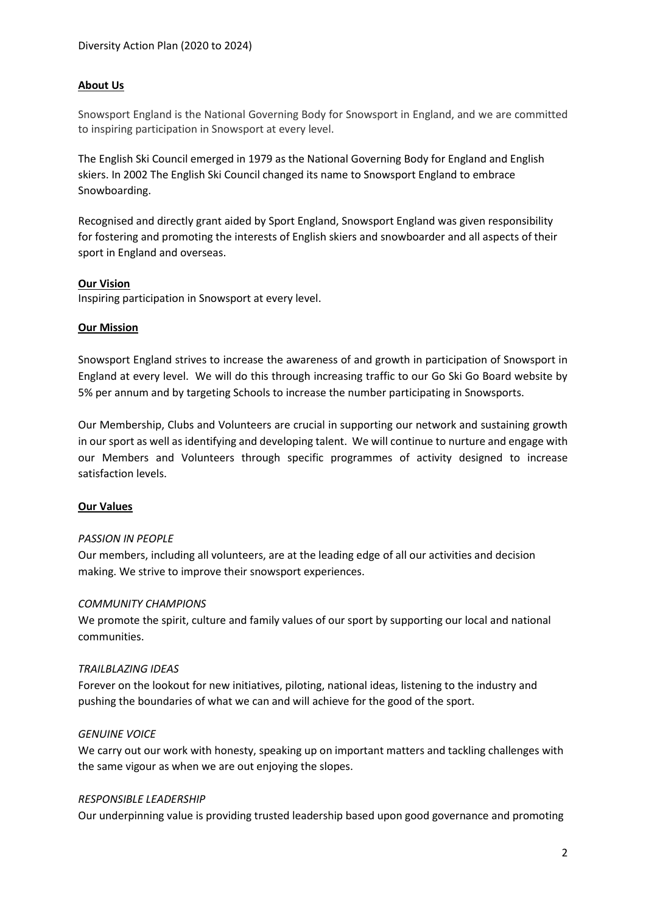## **About Us**

Snowsport England is the National Governing Body for Snowsport in England, and we are committed to inspiring participation in Snowsport at every level.

The English Ski Council emerged in 1979 as the National Governing Body for England and English skiers. In 2002 The English Ski Council changed its name to Snowsport England to embrace Snowboarding.

Recognised and directly grant aided by Sport England, Snowsport England was given responsibility for fostering and promoting the interests of English skiers and snowboarder and all aspects of their sport in England and overseas.

## **Our Vision**

Inspiring participation in Snowsport at every level.

### **Our Mission**

Snowsport England strives to increase the awareness of and growth in participation of Snowsport in England at every level. We will do this through increasing traffic to our Go Ski Go Board website by 5% per annum and by targeting Schools to increase the number participating in Snowsports.

Our Membership, Clubs and Volunteers are crucial in supporting our network and sustaining growth in our sport as well as identifying and developing talent. We will continue to nurture and engage with our Members and Volunteers through specific programmes of activity designed to increase satisfaction levels.

## **Our Values**

### *PASSION IN PEOPLE*

Our members, including all volunteers, are at the leading edge of all our activities and decision making. We strive to improve their snowsport experiences.

### *COMMUNITY CHAMPIONS*

We promote the spirit, culture and family values of our sport by supporting our local and national communities.

### *TRAILBLAZING IDEAS*

Forever on the lookout for new initiatives, piloting, national ideas, listening to the industry and pushing the boundaries of what we can and will achieve for the good of the sport.

### *GENUINE VOICE*

We carry out our work with honesty, speaking up on important matters and tackling challenges with the same vigour as when we are out enjoying the slopes.

### *RESPONSIBLE LEADERSHIP*

Our underpinning value is providing trusted leadership based upon good governance and promoting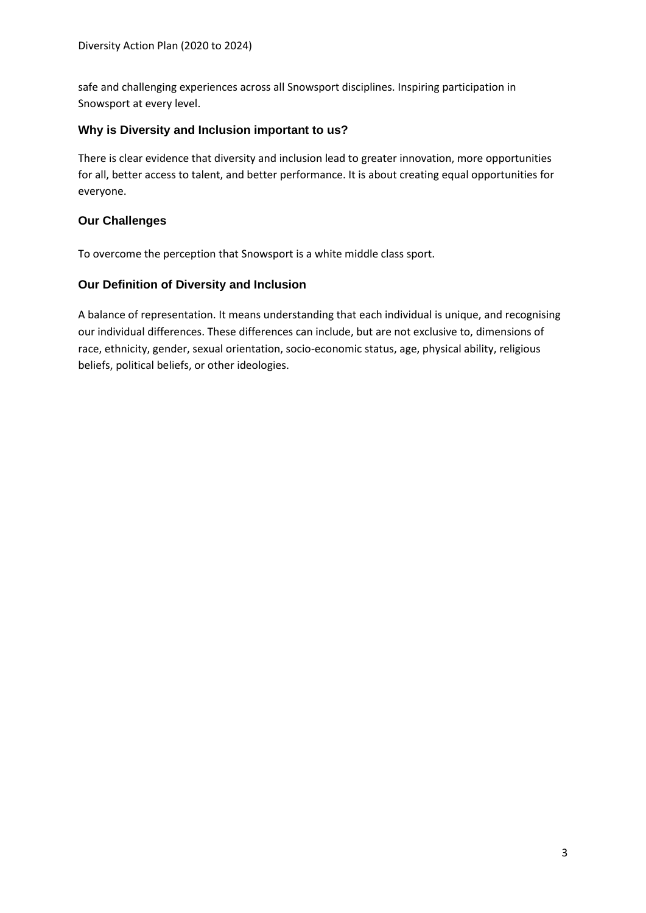safe and challenging experiences across all Snowsport disciplines. Inspiring participation in Snowsport at every level.

# **Why is Diversity and Inclusion important to us?**

There is clear evidence that diversity and inclusion lead to greater innovation, more opportunities for all, better access to talent, and better performance. It is about creating equal opportunities for everyone.

# **Our Challenges**

To overcome the perception that Snowsport is a white middle class sport.

# **Our Definition of Diversity and Inclusion**

A balance of representation. It means understanding that each individual is unique, and recognising our individual differences. These differences can include, but are not exclusive to, dimensions of race, ethnicity, gender, sexual orientation, socio-economic status, age, physical ability, religious beliefs, political beliefs, or other ideologies.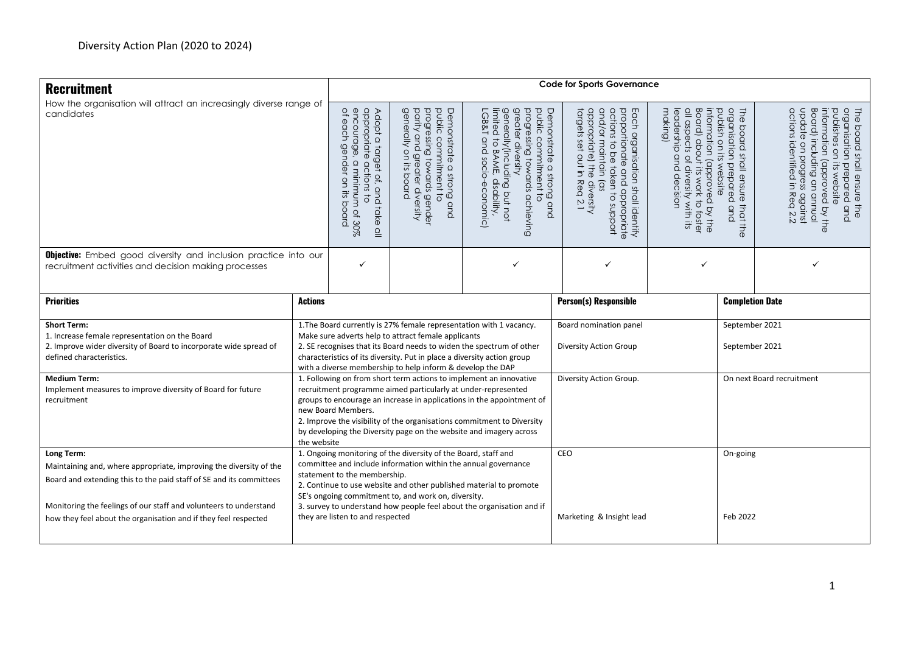| <b>Recruitment</b>                                                                                                                                      | <b>Code for Sports Governance</b>                                                                                                                                                                                                                                                                                                                                                                                                                         |                                                                                                                                                                                                                     |                                                                                                                                                                                                                                                               |                                                                                                                                                                                                       |                                                                                                                                                                                           |                                                                                                                                                                                                                                                      |                |                                                                                                                                                                                                                            |  |  |
|---------------------------------------------------------------------------------------------------------------------------------------------------------|-----------------------------------------------------------------------------------------------------------------------------------------------------------------------------------------------------------------------------------------------------------------------------------------------------------------------------------------------------------------------------------------------------------------------------------------------------------|---------------------------------------------------------------------------------------------------------------------------------------------------------------------------------------------------------------------|---------------------------------------------------------------------------------------------------------------------------------------------------------------------------------------------------------------------------------------------------------------|-------------------------------------------------------------------------------------------------------------------------------------------------------------------------------------------------------|-------------------------------------------------------------------------------------------------------------------------------------------------------------------------------------------|------------------------------------------------------------------------------------------------------------------------------------------------------------------------------------------------------------------------------------------------------|----------------|----------------------------------------------------------------------------------------------------------------------------------------------------------------------------------------------------------------------------|--|--|
| How the organisation will attract an increasingly diverse range of                                                                                      |                                                                                                                                                                                                                                                                                                                                                                                                                                                           |                                                                                                                                                                                                                     |                                                                                                                                                                                                                                                               |                                                                                                                                                                                                       |                                                                                                                                                                                           |                                                                                                                                                                                                                                                      |                |                                                                                                                                                                                                                            |  |  |
| candidates                                                                                                                                              |                                                                                                                                                                                                                                                                                                                                                                                                                                                           | appropriate<br>encourage, a<br>of each gena<br>Adopt a<br>gender<br>target of, and take<br>$\hbox{\large \it \Omega}$<br>actions<br>minimum of 30%<br>$\overline{a}$<br>5÷<br>$\vec{\circ}$<br>board<br>$\subseteq$ | generally<br>parity<br>progressing towards gender<br>Demonstrate a strong and<br>public commitment to<br>qnd<br>ou<br>greater diversity<br>if:<br>board                                                                                                       | greater diversity<br>Demonstrate a strong and<br>public commitment to<br>progressing towards achieving<br>generally(including but not<br>-GB&T and socio-economic)<br>limited<br>to BAME, disability, | and/or maintain (as<br>actions to be taken to support<br>appropriate) the diversity<br>proportionate<br>targets set out in Rea 2.1<br>Each organisation shall identify<br>and appropriate | organisation prepared<br>The board shall ensure<br>all aspects of diversity with its<br>Board) about<br>publish on its<br>making)<br>information (approved<br>eadership and decision<br>website<br>its work to foster<br>that the<br>and<br>I by the |                | Board) including an annual<br>The board shall ensure the<br>organisation prepared and<br>actions identified in Rea 2.2<br>update on progress against<br>information (approved by the<br>publishes on<br>its website<br>and |  |  |
| <b>Objective:</b> Embed good diversity and inclusion practice into our<br>recruitment activities and decision making processes                          |                                                                                                                                                                                                                                                                                                                                                                                                                                                           | ✓                                                                                                                                                                                                                   |                                                                                                                                                                                                                                                               |                                                                                                                                                                                                       | ✓                                                                                                                                                                                         |                                                                                                                                                                                                                                                      |                |                                                                                                                                                                                                                            |  |  |
| <b>Priorities</b>                                                                                                                                       | <b>Actions</b>                                                                                                                                                                                                                                                                                                                                                                                                                                            | <b>Person(s) Responsible</b>                                                                                                                                                                                        |                                                                                                                                                                                                                                                               |                                                                                                                                                                                                       |                                                                                                                                                                                           |                                                                                                                                                                                                                                                      |                | <b>Completion Date</b>                                                                                                                                                                                                     |  |  |
| <b>Short Term:</b>                                                                                                                                      |                                                                                                                                                                                                                                                                                                                                                                                                                                                           |                                                                                                                                                                                                                     |                                                                                                                                                                                                                                                               | 1. The Board currently is 27% female representation with 1 vacancy.                                                                                                                                   | Board nomination panel                                                                                                                                                                    |                                                                                                                                                                                                                                                      | September 2021 |                                                                                                                                                                                                                            |  |  |
| 1. Increase female representation on the Board<br>2. Improve wider diversity of Board to incorporate wide spread of<br>defined characteristics.         | Make sure adverts help to attract female applicants<br>2. SE recognises that its Board needs to widen the spectrum of other<br><b>Diversity Action Group</b><br>September 2021<br>characteristics of its diversity. Put in place a diversity action group<br>with a diverse membership to help inform & develop the DAP                                                                                                                                   |                                                                                                                                                                                                                     |                                                                                                                                                                                                                                                               |                                                                                                                                                                                                       |                                                                                                                                                                                           |                                                                                                                                                                                                                                                      |                |                                                                                                                                                                                                                            |  |  |
| <b>Medium Term:</b><br>Implement measures to improve diversity of Board for future<br>recruitment                                                       | Diversity Action Group.<br>On next Board recruitment<br>1. Following on from short term actions to implement an innovative<br>recruitment programme aimed particularly at under-represented<br>groups to encourage an increase in applications in the appointment of<br>new Board Members.<br>2. Improve the visibility of the organisations commitment to Diversity<br>by developing the Diversity page on the website and imagery across<br>the website |                                                                                                                                                                                                                     |                                                                                                                                                                                                                                                               |                                                                                                                                                                                                       |                                                                                                                                                                                           |                                                                                                                                                                                                                                                      |                |                                                                                                                                                                                                                            |  |  |
| Long Term:<br>Maintaining and, where appropriate, improving the diversity of the<br>Board and extending this to the paid staff of SE and its committees |                                                                                                                                                                                                                                                                                                                                                                                                                                                           | statement to the membership.                                                                                                                                                                                        | 1. Ongoing monitoring of the diversity of the Board, staff and<br>committee and include information within the annual governance<br>2. Continue to use website and other published material to promote<br>SE's ongoing commitment to, and work on, diversity. | CEO                                                                                                                                                                                                   | On-going                                                                                                                                                                                  |                                                                                                                                                                                                                                                      |                |                                                                                                                                                                                                                            |  |  |
| Monitoring the feelings of our staff and volunteers to understand<br>how they feel about the organisation and if they feel respected                    |                                                                                                                                                                                                                                                                                                                                                                                                                                                           | they are listen to and respected                                                                                                                                                                                    | 3. survey to understand how people feel about the organisation and if                                                                                                                                                                                         | Marketing & Insight lead                                                                                                                                                                              |                                                                                                                                                                                           | Feb 2022                                                                                                                                                                                                                                             |                |                                                                                                                                                                                                                            |  |  |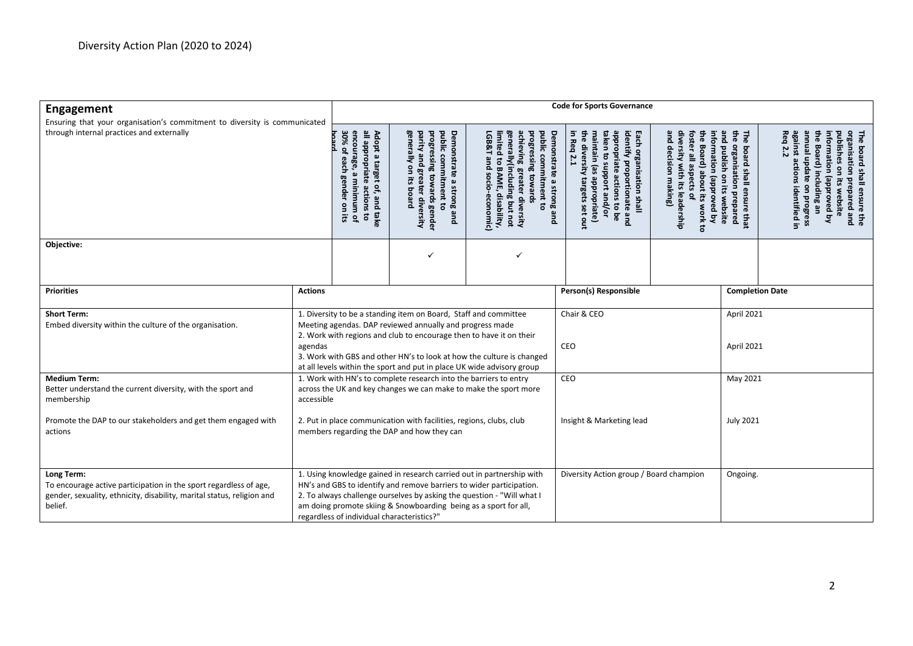| Engagement                                                                                                                                                                   |                | <b>Code for Sports Governance</b>                                                                                                                                                                                                                                                                                                                      |                                                                                                                                               |                                                                                                                                                                                                                                         |  |                                                                                                                                                                                                                              |                                                                                                                                                                                                                                                      |                          |                                                                                                                                                                                                                                                                                                                                       |  |  |
|------------------------------------------------------------------------------------------------------------------------------------------------------------------------------|----------------|--------------------------------------------------------------------------------------------------------------------------------------------------------------------------------------------------------------------------------------------------------------------------------------------------------------------------------------------------------|-----------------------------------------------------------------------------------------------------------------------------------------------|-----------------------------------------------------------------------------------------------------------------------------------------------------------------------------------------------------------------------------------------|--|------------------------------------------------------------------------------------------------------------------------------------------------------------------------------------------------------------------------------|------------------------------------------------------------------------------------------------------------------------------------------------------------------------------------------------------------------------------------------------------|--------------------------|---------------------------------------------------------------------------------------------------------------------------------------------------------------------------------------------------------------------------------------------------------------------------------------------------------------------------------------|--|--|
| Ensuring that your organisation's commitment to diversity is communicated<br>through internal practices and externally                                                       |                | 30%<br>encoura<br>all appropriate<br>Adopt a target<br>$\overline{a}$<br>ှစ်<br>၁<br>gch<br>$\pmb{\omega}$<br>æ<br>minimum<br>of, and take<br>actions<br><u>ዊ</u><br>$\mathsf{S}$<br>$\overline{\mathbf{c}}$<br>$\vec{a}$<br>$\mathbf{a}$                                                                                                              | generally on<br>progressing towards gender<br>public commitment to<br>Demonstrate<br>parity and<br>greater diversity<br>a strong and<br>pueoq | generally(including but not<br>achieving<br><b>LGB&amp;T</b><br>public commitment to<br>Demonstrate<br>limited<br>rogressing towards<br>pue<br>to BAME,<br>greater diversity<br><b>SOCIO</b><br>a strong and<br>disability,<br>economic |  | identify proportionate and<br>in Req<br>taken<br>appropriate<br>Each organisation shall<br>maintain<br>divers<br>ಠ<br><b>2.1</b><br>anboort and/or<br>se)<br>₹<br>actions to be<br>appropriate)<br>target<br>S,<br>set<br>gu | and decision making)<br>diversity with its leadership<br>the Board) about its work to<br>and publish on its website<br>₽<br>foster all aspects of<br>The<br>information<br>organisation<br>poard<br>shall ensure<br>(approved by<br>prepared<br>that |                          | Req<br>against a<br>pdn jenuue<br>E<br>G<br>The<br>nformation<br><b>rganisation</b><br>blishes<br>Board)<br>board shall ensure the<br>anisation prepared and<br>2.2<br>iction<br>$\mathsf{S}$<br>$\overline{5}$<br>late<br>panoudde)<br>ËS.<br>luding<br>e on progress<br>sidentified in<br>website<br>$\mathbf{B}$<br>$\overline{z}$ |  |  |
| Objective:                                                                                                                                                                   |                |                                                                                                                                                                                                                                                                                                                                                        | ✓                                                                                                                                             | ✓                                                                                                                                                                                                                                       |  |                                                                                                                                                                                                                              |                                                                                                                                                                                                                                                      |                          |                                                                                                                                                                                                                                                                                                                                       |  |  |
| <b>Priorities</b>                                                                                                                                                            | <b>Actions</b> |                                                                                                                                                                                                                                                                                                                                                        |                                                                                                                                               |                                                                                                                                                                                                                                         |  | Person(s) Responsible                                                                                                                                                                                                        |                                                                                                                                                                                                                                                      |                          | <b>Completion Date</b>                                                                                                                                                                                                                                                                                                                |  |  |
| <b>Short Term:</b><br>Embed diversity within the culture of the organisation.                                                                                                | agendas        | 1. Diversity to be a standing item on Board, Staff and committee<br>Meeting agendas. DAP reviewed annually and progress made<br>2. Work with regions and club to encourage then to have it on their<br>3. Work with GBS and other HN's to look at how the culture is changed<br>at all levels within the sport and put in place UK wide advisory group |                                                                                                                                               |                                                                                                                                                                                                                                         |  | Chair & CEO<br>CEO                                                                                                                                                                                                           |                                                                                                                                                                                                                                                      | April 2021<br>April 2021 |                                                                                                                                                                                                                                                                                                                                       |  |  |
| <b>Medium Term:</b><br>Better understand the current diversity, with the sport and<br>membership<br>Promote the DAP to our stakeholders and get them engaged with<br>actions | accessible     | 1. Work with HN's to complete research into the barriers to entry<br>across the UK and key changes we can make to make the sport more<br>2. Put in place communication with facilities, regions, clubs, club<br>members regarding the DAP and how they can                                                                                             |                                                                                                                                               |                                                                                                                                                                                                                                         |  | CEO<br>Insight & Marketing lead                                                                                                                                                                                              |                                                                                                                                                                                                                                                      |                          | May 2021<br><b>July 2021</b>                                                                                                                                                                                                                                                                                                          |  |  |
| Long Term:<br>To encourage active participation in the sport regardless of age,<br>gender, sexuality, ethnicity, disability, marital status, religion and<br>belief.         |                | 1. Using knowledge gained in research carried out in partnership with<br>HN's and GBS to identify and remove barriers to wider participation.<br>2. To always challenge ourselves by asking the question - "Will what I<br>am doing promote skiing & Snowboarding being as a sport for all,<br>regardless of individual characteristics?"              |                                                                                                                                               |                                                                                                                                                                                                                                         |  | Diversity Action group / Board champion<br>Ongoing.                                                                                                                                                                          |                                                                                                                                                                                                                                                      |                          |                                                                                                                                                                                                                                                                                                                                       |  |  |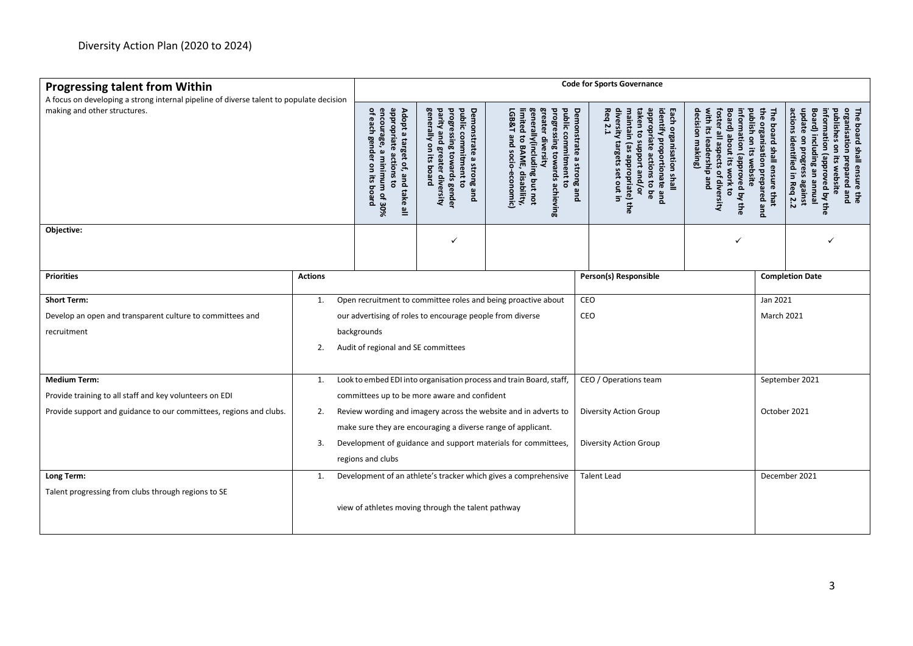| <b>Progressing talent from Within</b>                                                                                   | <b>Code for Sports Governance</b> |                                                                                                                                                                                |                                                                                                                                             |                                                                                                                                                                                                                   |                                                                                                                                                                                                                                                |                                                                                                                                                                                                                                         |  |                                                                                                                                                                                                                              |  |  |
|-------------------------------------------------------------------------------------------------------------------------|-----------------------------------|--------------------------------------------------------------------------------------------------------------------------------------------------------------------------------|---------------------------------------------------------------------------------------------------------------------------------------------|-------------------------------------------------------------------------------------------------------------------------------------------------------------------------------------------------------------------|------------------------------------------------------------------------------------------------------------------------------------------------------------------------------------------------------------------------------------------------|-----------------------------------------------------------------------------------------------------------------------------------------------------------------------------------------------------------------------------------------|--|------------------------------------------------------------------------------------------------------------------------------------------------------------------------------------------------------------------------------|--|--|
| A focus on developing a strong internal pipeline of diverse talent to populate decision<br>making and other structures. |                                   | appropriate<br>of each<br>encoura<br>Adopt a<br>Ben<br>ee,<br>target<br>āer<br>മ<br>actions<br>minimum of 30%<br>of, and take all<br>э<br><b>ES</b><br>$\overline{5}$<br>pueoq | generally on its<br>parity and greater diversity<br>progressing towards gender<br>public commitment to<br>Demonstrate a strong and<br>board | greater diversity<br>public<br>progressing<br>LGB&T<br>imited to BAME,<br>enerally(including but not<br>commitment<br>$\boldsymbol{\omega}$<br>to BAME, disability,<br>and socio-economic)<br>towards achiev<br>흛 | Req<br>diversity targets<br>taken to support and/or<br>appropriate<br>identify<br>Demonstrate a strong and<br>maintain (as<br>Each organisation shall<br><b>2.1</b><br>proportionate and<br>actions<br>appropriate) the<br>set out in<br>to be | the organisation<br>Board) about its work to<br>decision making)<br>foster all aspects of diversity<br>publish on its website<br>information (approved by the<br>The board shall ensure that<br>with its leadership and<br>prepared and |  | actions identified in Req 2.2<br>update on progress against<br>Board) including an<br>The board shall ensure the<br>organisation prepared and<br>information (approved by the<br>publishes on<br>its website<br><b>enuue</b> |  |  |
| Objective:                                                                                                              |                                   |                                                                                                                                                                                | ✓                                                                                                                                           |                                                                                                                                                                                                                   |                                                                                                                                                                                                                                                |                                                                                                                                                                                                                                         |  |                                                                                                                                                                                                                              |  |  |
| <b>Priorities</b>                                                                                                       | <b>Actions</b>                    |                                                                                                                                                                                |                                                                                                                                             |                                                                                                                                                                                                                   | Person(s) Responsible                                                                                                                                                                                                                          |                                                                                                                                                                                                                                         |  | <b>Completion Date</b>                                                                                                                                                                                                       |  |  |
| <b>Short Term:</b>                                                                                                      | 1.                                |                                                                                                                                                                                |                                                                                                                                             | Open recruitment to committee roles and being proactive about                                                                                                                                                     | <b>CEO</b>                                                                                                                                                                                                                                     | Jan 2021                                                                                                                                                                                                                                |  |                                                                                                                                                                                                                              |  |  |
| Develop an open and transparent culture to committees and                                                               |                                   |                                                                                                                                                                                | our advertising of roles to encourage people from diverse                                                                                   |                                                                                                                                                                                                                   | CEO                                                                                                                                                                                                                                            | <b>March 2021</b>                                                                                                                                                                                                                       |  |                                                                                                                                                                                                                              |  |  |
| recruitment                                                                                                             |                                   | backgrounds                                                                                                                                                                    |                                                                                                                                             |                                                                                                                                                                                                                   |                                                                                                                                                                                                                                                |                                                                                                                                                                                                                                         |  |                                                                                                                                                                                                                              |  |  |
|                                                                                                                         | 2.                                | Audit of regional and SE committees                                                                                                                                            |                                                                                                                                             |                                                                                                                                                                                                                   |                                                                                                                                                                                                                                                |                                                                                                                                                                                                                                         |  |                                                                                                                                                                                                                              |  |  |
| <b>Medium Term:</b>                                                                                                     | 1.                                |                                                                                                                                                                                |                                                                                                                                             | Look to embed EDI into organisation process and train Board, staff,                                                                                                                                               | CEO / Operations team                                                                                                                                                                                                                          | September 2021                                                                                                                                                                                                                          |  |                                                                                                                                                                                                                              |  |  |
| Provide training to all staff and key volunteers on EDI                                                                 |                                   |                                                                                                                                                                                | committees up to be more aware and confident                                                                                                |                                                                                                                                                                                                                   |                                                                                                                                                                                                                                                |                                                                                                                                                                                                                                         |  |                                                                                                                                                                                                                              |  |  |
| Provide support and guidance to our committees, regions and clubs.                                                      | 2.                                |                                                                                                                                                                                | Review wording and imagery across the website and in adverts to<br>make sure they are encouraging a diverse range of applicant.             | Diversity Action Group                                                                                                                                                                                            | October 2021                                                                                                                                                                                                                                   |                                                                                                                                                                                                                                         |  |                                                                                                                                                                                                                              |  |  |
|                                                                                                                         | 3.                                |                                                                                                                                                                                |                                                                                                                                             | Development of guidance and support materials for committees,                                                                                                                                                     | Diversity Action Group                                                                                                                                                                                                                         |                                                                                                                                                                                                                                         |  |                                                                                                                                                                                                                              |  |  |
|                                                                                                                         |                                   | regions and clubs                                                                                                                                                              |                                                                                                                                             |                                                                                                                                                                                                                   |                                                                                                                                                                                                                                                |                                                                                                                                                                                                                                         |  |                                                                                                                                                                                                                              |  |  |
| Long Term:                                                                                                              | 1.                                |                                                                                                                                                                                |                                                                                                                                             | Development of an athlete's tracker which gives a comprehensive                                                                                                                                                   | <b>Talent Lead</b>                                                                                                                                                                                                                             | December 2021                                                                                                                                                                                                                           |  |                                                                                                                                                                                                                              |  |  |
| Talent progressing from clubs through regions to SE                                                                     |                                   |                                                                                                                                                                                | view of athletes moving through the talent pathway                                                                                          |                                                                                                                                                                                                                   |                                                                                                                                                                                                                                                |                                                                                                                                                                                                                                         |  |                                                                                                                                                                                                                              |  |  |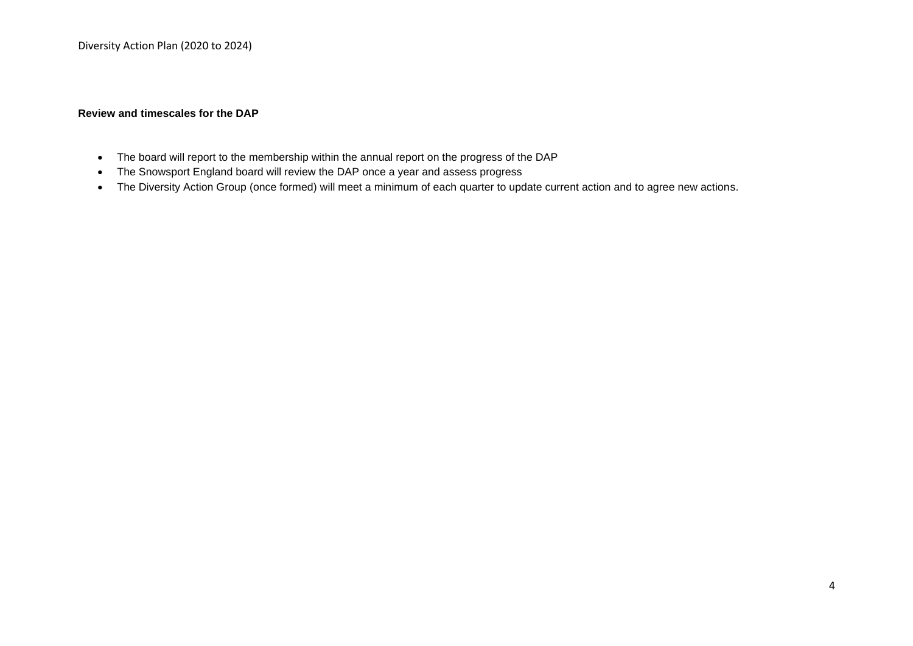### **Review and timescales for the DAP**

- The board will report to the membership within the annual report on the progress of the DAP
- The Snowsport England board will review the DAP once a year and assess progress
- The Diversity Action Group (once formed) will meet a minimum of each quarter to update current action and to agree new actions.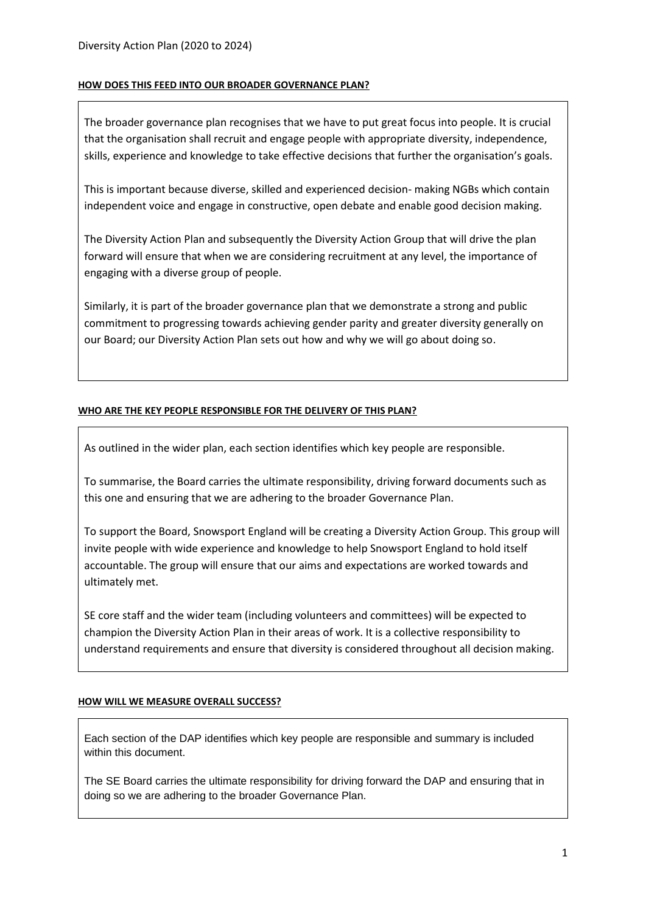### **HOW DOES THIS FEED INTO OUR BROADER GOVERNANCE PLAN?**

The broader governance plan recognises that we have to put great focus into people. It is crucial that the organisation shall recruit and engage people with appropriate diversity, independence, skills, experience and knowledge to take effective decisions that further the organisation's goals.

This is important because diverse, skilled and experienced decision- making NGBs which contain independent voice and engage in constructive, open debate and enable good decision making.

The Diversity Action Plan and subsequently the Diversity Action Group that will drive the plan forward will ensure that when we are considering recruitment at any level, the importance of engaging with a diverse group of people.

Similarly, it is part of the broader governance plan that we demonstrate a strong and public commitment to progressing towards achieving gender parity and greater diversity generally on our Board; our Diversity Action Plan sets out how and why we will go about doing so.

### **WHO ARE THE KEY PEOPLE RESPONSIBLE FOR THE DELIVERY OF THIS PLAN?**

As outlined in the wider plan, each section identifies which key people are responsible.

To summarise, the Board carries the ultimate responsibility, driving forward documents such as this one and ensuring that we are adhering to the broader Governance Plan.

To support the Board, Snowsport England will be creating a Diversity Action Group. This group will invite people with wide experience and knowledge to help Snowsport England to hold itself accountable. The group will ensure that our aims and expectations are worked towards and ultimately met.

SE core staff and the wider team (including volunteers and committees) will be expected to champion the Diversity Action Plan in their areas of work. It is a collective responsibility to understand requirements and ensure that diversity is considered throughout all decision making.

### **HOW WILL WE MEASURE OVERALL SUCCESS?**

Each section of the DAP identifies which key people are responsible and summary is included within this document.

The SE Board carries the ultimate responsibility for driving forward the DAP and ensuring that in doing so we are adhering to the broader Governance Plan.